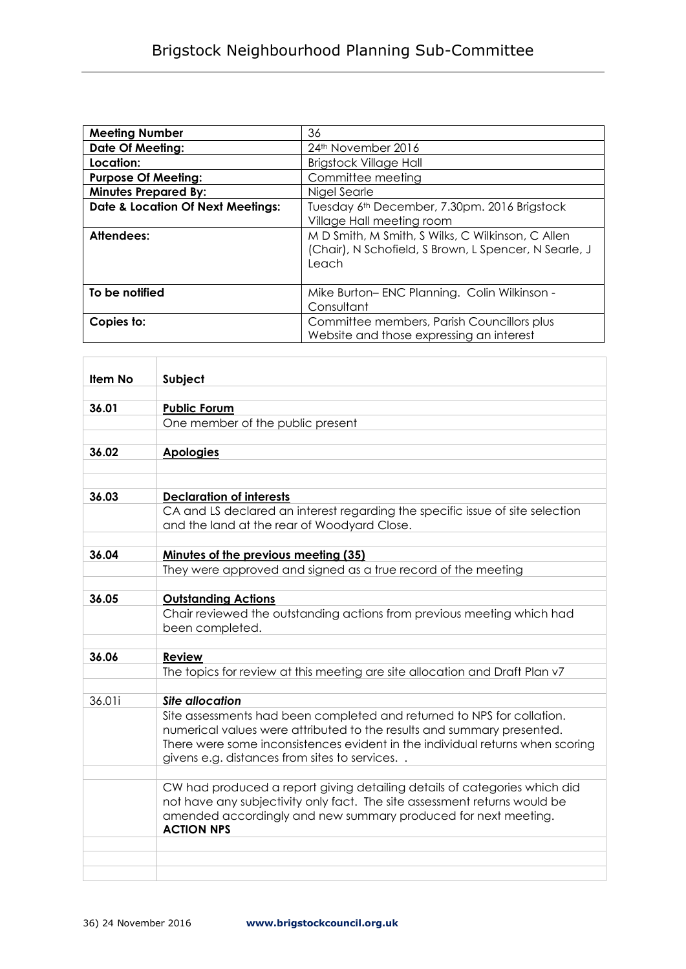| <b>Meeting Number</b>                        | 36                                                                                                                  |
|----------------------------------------------|---------------------------------------------------------------------------------------------------------------------|
| <b>Date Of Meeting:</b>                      | 24 <sup>th</sup> November 2016                                                                                      |
| Location:                                    | <b>Brigstock Village Hall</b>                                                                                       |
| <b>Purpose Of Meeting:</b>                   | Committee meeting                                                                                                   |
| <b>Minutes Prepared By:</b>                  | Nigel Searle                                                                                                        |
| <b>Date &amp; Location Of Next Meetings:</b> | Tuesday 6 <sup>th</sup> December, 7.30pm. 2016 Brigstock<br>Village Hall meeting room                               |
| Attendees:                                   | M D Smith, M Smith, S Wilks, C Wilkinson, C Allen<br>(Chair), N Schofield, S Brown, L Spencer, N Searle, J<br>Leach |
| To be notified                               | Mike Burton-ENC Planning. Colin Wilkinson -<br>Consultant                                                           |
| Copies to:                                   | Committee members, Parish Councillors plus<br>Website and those expressing an interest                              |

| <b>Item No</b> | Subject                                                                                                                                                                                                                                                                           |
|----------------|-----------------------------------------------------------------------------------------------------------------------------------------------------------------------------------------------------------------------------------------------------------------------------------|
|                |                                                                                                                                                                                                                                                                                   |
| 36.01          | <b>Public Forum</b>                                                                                                                                                                                                                                                               |
|                | One member of the public present                                                                                                                                                                                                                                                  |
|                |                                                                                                                                                                                                                                                                                   |
| 36.02          | <b>Apologies</b>                                                                                                                                                                                                                                                                  |
|                |                                                                                                                                                                                                                                                                                   |
|                |                                                                                                                                                                                                                                                                                   |
| 36.03          | <b>Declaration of interests</b>                                                                                                                                                                                                                                                   |
|                | CA and LS declared an interest regarding the specific issue of site selection<br>and the land at the rear of Woodyard Close.                                                                                                                                                      |
|                |                                                                                                                                                                                                                                                                                   |
| 36.04          | Minutes of the previous meeting (35)                                                                                                                                                                                                                                              |
|                | They were approved and signed as a true record of the meeting                                                                                                                                                                                                                     |
|                |                                                                                                                                                                                                                                                                                   |
| 36.05          | <b>Outstanding Actions</b>                                                                                                                                                                                                                                                        |
|                | Chair reviewed the outstanding actions from previous meeting which had<br>been completed.                                                                                                                                                                                         |
|                |                                                                                                                                                                                                                                                                                   |
| 36.06          | <b>Review</b>                                                                                                                                                                                                                                                                     |
|                | The topics for review at this meeting are site allocation and Draft Plan v7                                                                                                                                                                                                       |
|                |                                                                                                                                                                                                                                                                                   |
| 36.01i         | <b>Site allocation</b>                                                                                                                                                                                                                                                            |
|                | Site assessments had been completed and returned to NPS for collation.<br>numerical values were attributed to the results and summary presented.<br>There were some inconsistences evident in the individual returns when scoring<br>givens e.g. distances from sites to services |
|                |                                                                                                                                                                                                                                                                                   |
|                | CW had produced a report giving detailing details of categories which did<br>not have any subjectivity only fact. The site assessment returns would be<br>amended accordingly and new summary produced for next meeting.<br><b>ACTION NPS</b>                                     |
|                |                                                                                                                                                                                                                                                                                   |
|                |                                                                                                                                                                                                                                                                                   |
|                |                                                                                                                                                                                                                                                                                   |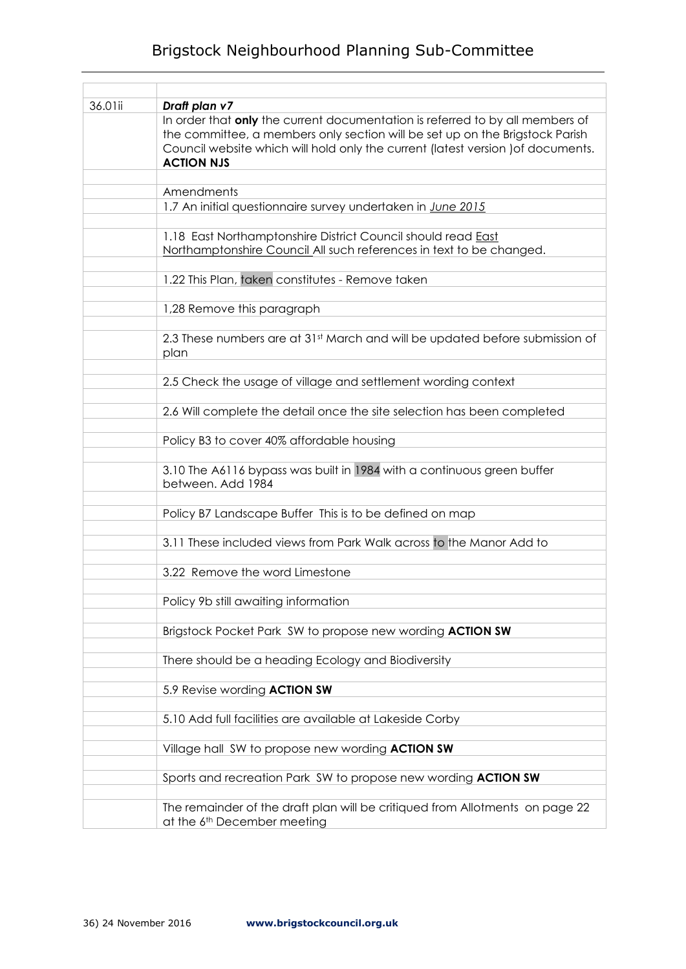## Brigstock Neighbourhood Planning Sub-Committee

| 36.01ii | Draft plan v7                                                                                                                                                                                                                                                          |
|---------|------------------------------------------------------------------------------------------------------------------------------------------------------------------------------------------------------------------------------------------------------------------------|
|         | In order that only the current documentation is referred to by all members of<br>the committee, a members only section will be set up on the Brigstock Parish<br>Council website which will hold only the current (latest version ) of documents.<br><b>ACTION NJS</b> |
|         |                                                                                                                                                                                                                                                                        |
|         | Amendments                                                                                                                                                                                                                                                             |
|         | 1.7 An initial questionnaire survey undertaken in June 2015                                                                                                                                                                                                            |
|         | 1.18 East Northamptonshire District Council should read <b>East</b><br>Northamptonshire Council All such references in text to be changed.                                                                                                                             |
|         | 1.22 This Plan, taken constitutes - Remove taken                                                                                                                                                                                                                       |
|         | 1,28 Remove this paragraph                                                                                                                                                                                                                                             |
|         | 2.3 These numbers are at 31st March and will be updated before submission of<br>plan                                                                                                                                                                                   |
|         | 2.5 Check the usage of village and settlement wording context                                                                                                                                                                                                          |
|         | 2.6 Will complete the detail once the site selection has been completed                                                                                                                                                                                                |
|         | Policy B3 to cover 40% affordable housing                                                                                                                                                                                                                              |
|         | 3.10 The A6116 bypass was built in 1984 with a continuous green buffer<br>between. Add 1984                                                                                                                                                                            |
|         | Policy B7 Landscape Buffer This is to be defined on map                                                                                                                                                                                                                |
|         | 3.11 These included views from Park Walk across to the Manor Add to                                                                                                                                                                                                    |
|         | 3.22 Remove the word Limestone                                                                                                                                                                                                                                         |
|         | Policy 9b still awaiting information                                                                                                                                                                                                                                   |
|         | Brigstock Pocket Park SW to propose new wording ACTION SW                                                                                                                                                                                                              |
|         | There should be a heading Ecology and Biodiversity                                                                                                                                                                                                                     |
|         | 5.9 Revise wording ACTION SW                                                                                                                                                                                                                                           |
|         | 5.10 Add full facilities are available at Lakeside Corby                                                                                                                                                                                                               |
|         | Village hall SW to propose new wording <b>ACTION SW</b>                                                                                                                                                                                                                |
|         | Sports and recreation Park SW to propose new wording <b>ACTION SW</b>                                                                                                                                                                                                  |
|         | The remainder of the draft plan will be critiqued from Allotments on page 22<br>at the 6 <sup>th</sup> December meeting                                                                                                                                                |